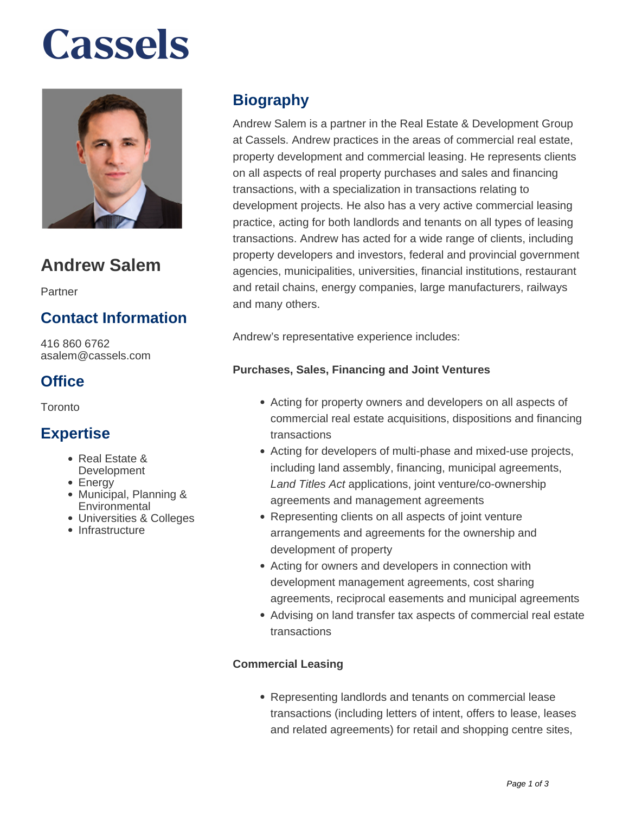# **Cassels**



### **Andrew Salem**

Partner

### **Contact Information**

416 860 6762 asalem@cassels.com

### **Office**

Toronto

### **Expertise**

- Real Estate &
- **Development**
- Energy
- Municipal, Planning & **Environmental**
- Universities & Colleges
- Infrastructure

### **Biography**

Andrew Salem is a partner in the Real Estate & Development Group at Cassels. Andrew practices in the areas of commercial real estate, property development and commercial leasing. He represents clients on all aspects of real property purchases and sales and financing transactions, with a specialization in transactions relating to development projects. He also has a very active commercial leasing practice, acting for both landlords and tenants on all types of leasing transactions. Andrew has acted for a wide range of clients, including property developers and investors, federal and provincial government agencies, municipalities, universities, financial institutions, restaurant and retail chains, energy companies, large manufacturers, railways and many others.

Andrew's representative experience includes:

#### **Purchases, Sales, Financing and Joint Ventures**

- Acting for property owners and developers on all aspects of commercial real estate acquisitions, dispositions and financing transactions
- Acting for developers of multi-phase and mixed-use projects, including land assembly, financing, municipal agreements, Land Titles Act applications, joint venture/co-ownership agreements and management agreements
- Representing clients on all aspects of joint venture arrangements and agreements for the ownership and development of property
- Acting for owners and developers in connection with development management agreements, cost sharing agreements, reciprocal easements and municipal agreements
- Advising on land transfer tax aspects of commercial real estate transactions

#### **Commercial Leasing**

Representing landlords and tenants on commercial lease transactions (including letters of intent, offers to lease, leases and related agreements) for retail and shopping centre sites,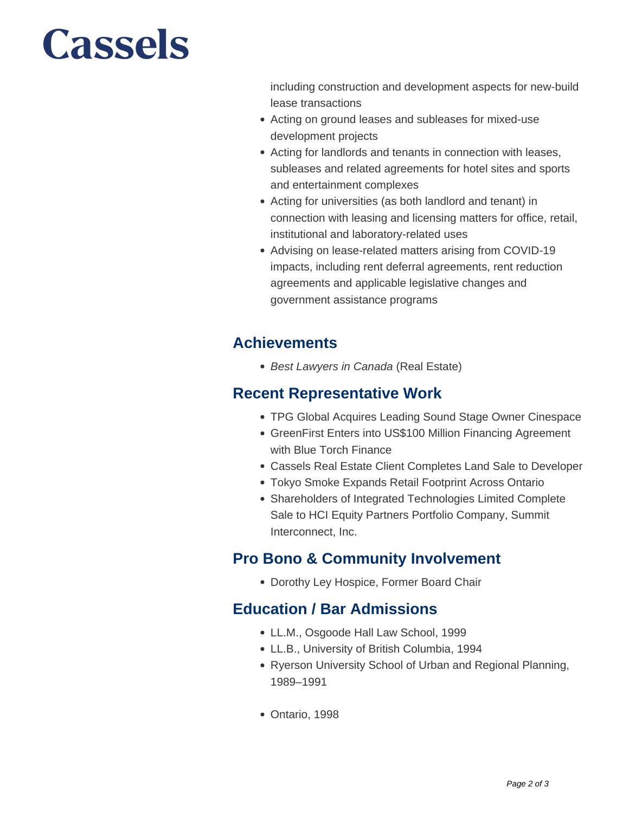# **Cassels**

including construction and development aspects for new-build lease transactions

- Acting on ground leases and subleases for mixed-use development projects
- Acting for landlords and tenants in connection with leases, subleases and related agreements for hotel sites and sports and entertainment complexes
- Acting for universities (as both landlord and tenant) in connection with leasing and licensing matters for office, retail, institutional and laboratory-related uses
- Advising on lease-related matters arising from COVID-19 impacts, including rent deferral agreements, rent reduction agreements and applicable legislative changes and government assistance programs

### **Achievements**

• Best Lawyers in Canada (Real Estate)

### **Recent Representative Work**

- TPG Global Acquires Leading Sound Stage Owner Cinespace
- GreenFirst Enters into US\$100 Million Financing Agreement with Blue Torch Finance
- Cassels Real Estate Client Completes Land Sale to Developer
- Tokyo Smoke Expands Retail Footprint Across Ontario
- Shareholders of Integrated Technologies Limited Complete Sale to HCI Equity Partners Portfolio Company, Summit Interconnect, Inc.

### **Pro Bono & Community Involvement**

Dorothy Ley Hospice, Former Board Chair

### **Education / Bar Admissions**

- LL.M., Osgoode Hall Law School, 1999
- LL.B., University of British Columbia, 1994
- Ryerson University School of Urban and Regional Planning, 1989–1991
- Ontario, 1998